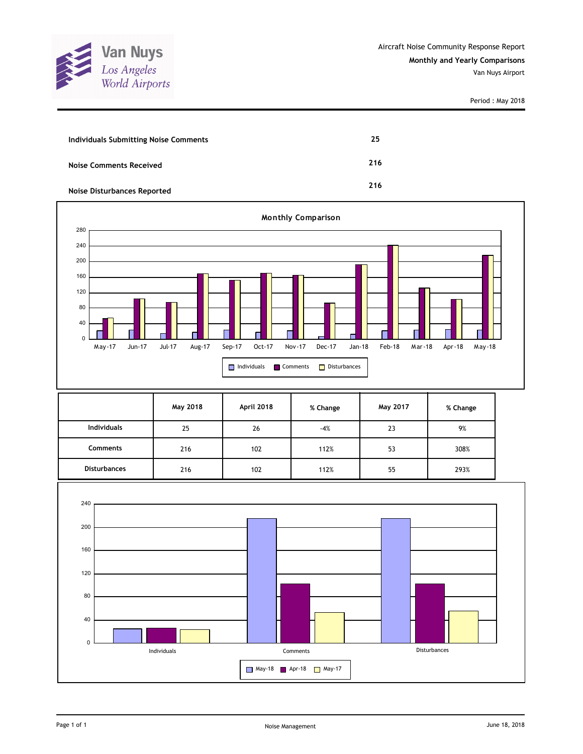

Period : May 2018

| <b>Individuals Submitting Noise Comments</b> | 25  |
|----------------------------------------------|-----|
| <b>Noise Comments Received</b>               | 216 |
| <b>Noise Disturbances Reported</b>           | 216 |



|                     | May 2018 | April 2018 | % Change | May 2017 | % Change |
|---------------------|----------|------------|----------|----------|----------|
| <b>Individuals</b>  | 25       | 26         | $-4%$    | 23       | 9%       |
| <b>Comments</b>     | 216      | 102        | 112%     | 53       | 308%     |
| <b>Disturbances</b> | 216      | 102        | 112%     | 55       | 293%     |

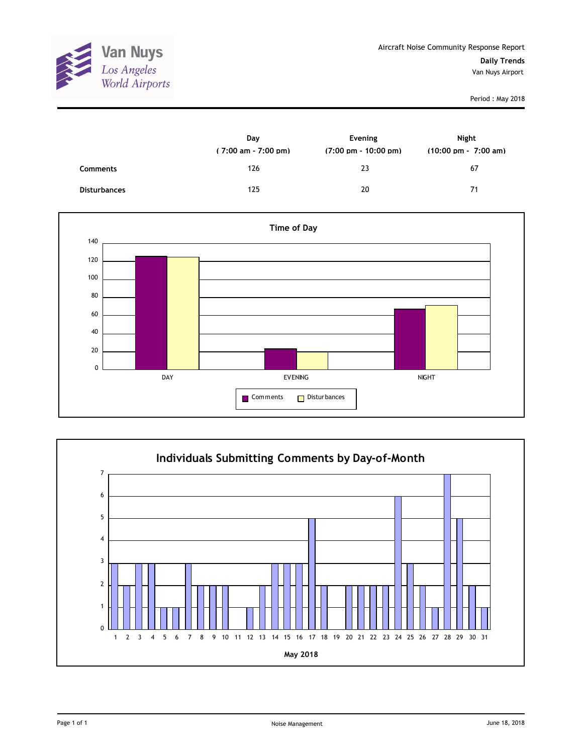

Period : May 2018

|                     | Day<br>$(7:00 \text{ am} - 7:00 \text{ pm})$ | Evening<br>$(7:00 \text{ pm} - 10:00 \text{ pm})$ | Night<br>$(10:00 \text{ pm} - 7:00 \text{ am})$ |
|---------------------|----------------------------------------------|---------------------------------------------------|-------------------------------------------------|
| Comments            | 126                                          | 23                                                | 67                                              |
| <b>Disturbances</b> | 125                                          | 20                                                | 71                                              |



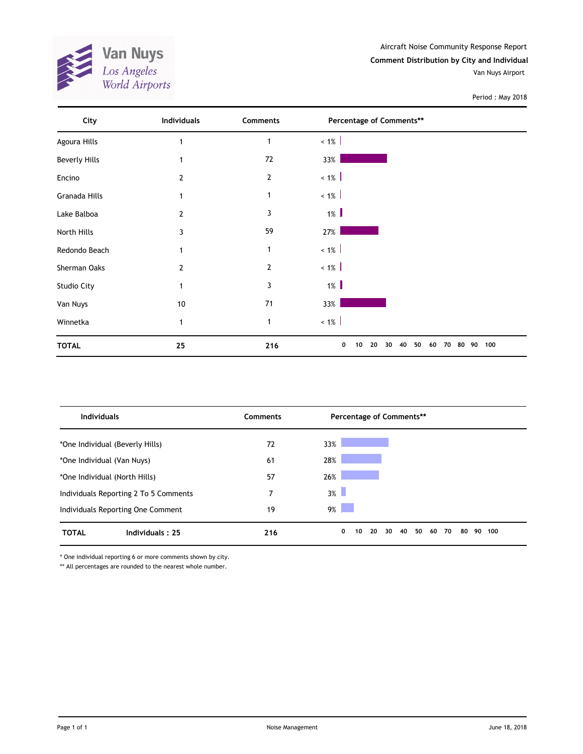

Aircraft Noise Community Response Report **Comment Distribution by City and Individual** Van Nuys Airport

Period : May 2018

| City                 | <b>Individuals</b> | Comments       | Percentage of Comments**                             |     |
|----------------------|--------------------|----------------|------------------------------------------------------|-----|
| Agoura Hills         |                    | 1              | $~1\%$                                               |     |
| <b>Beverly Hills</b> |                    | 72             | 33%                                                  |     |
| Encino               | 2                  | $\overline{2}$ | $< 1\%$                                              |     |
| Granada Hills        | $\mathbf{1}$       | $\mathbf{1}$   | $~1\%$                                               |     |
| Lake Balboa          | 2                  | 3              | $1\%$                                                |     |
| North Hills          | 3                  | 59             | 27%                                                  |     |
| Redondo Beach        |                    | 1              | $~1\%$                                               |     |
| Sherman Oaks         | 2                  | $\overline{2}$ | $< 1\%$                                              |     |
| Studio City          | $\mathbf{1}$       | 3              | $1\%$                                                |     |
| Van Nuys             | 10                 | 71             | 33%                                                  |     |
| Winnetka             | 1                  | $\mathbf{1}$   | $~1\%$                                               |     |
| <b>TOTAL</b>         | 25                 | 216            | 50<br>80 90<br>0<br>40<br>60<br>70<br>10<br>20<br>30 | 100 |

| <b>Individuals</b>                    | <b>Comments</b> | Percentage of Comments**                    |                 |
|---------------------------------------|-----------------|---------------------------------------------|-----------------|
| *One Individual (Beverly Hills)       | 72              | 33%                                         |                 |
| *One Individual (Van Nuys)            | 61              | 28%                                         |                 |
| *One Individual (North Hills)         | 57              | 26%                                         |                 |
| Individuals Reporting 2 To 5 Comments | 7               | $3\%$                                       |                 |
| Individuals Reporting One Comment     | 19              | $9\%$                                       |                 |
| Individuals: 25<br><b>TOTAL</b>       | 216             | 50<br>0<br>20<br>40<br>30<br>60<br>70<br>10 | 80<br>90<br>100 |

\* One individual reporting 6 or more comments shown by city.

\*\* All percentages are rounded to the nearest whole number.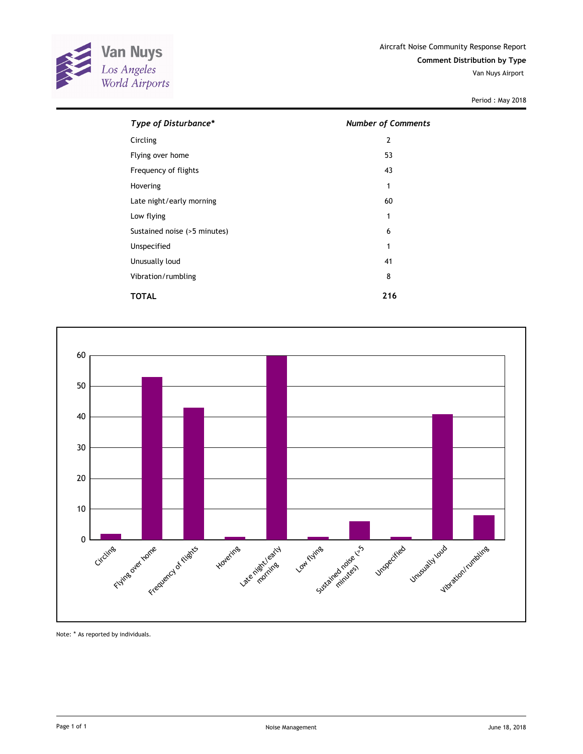

Van Nuys Airport

Period : May 2018

| Type of Disturbance*         | <b>Number of Comments</b> |
|------------------------------|---------------------------|
| Circling                     | $\overline{2}$            |
| Flying over home             | 53                        |
| Frequency of flights         | 43                        |
| Hovering                     | 1                         |
| Late night/early morning     | 60                        |
| Low flying                   | 1                         |
| Sustained noise (>5 minutes) | 6                         |
| Unspecified                  | 1                         |
| Unusually loud               | 41                        |
| Vibration/rumbling           | 8                         |
| TOTAL                        | 216                       |



Note: \* As reported by individuals.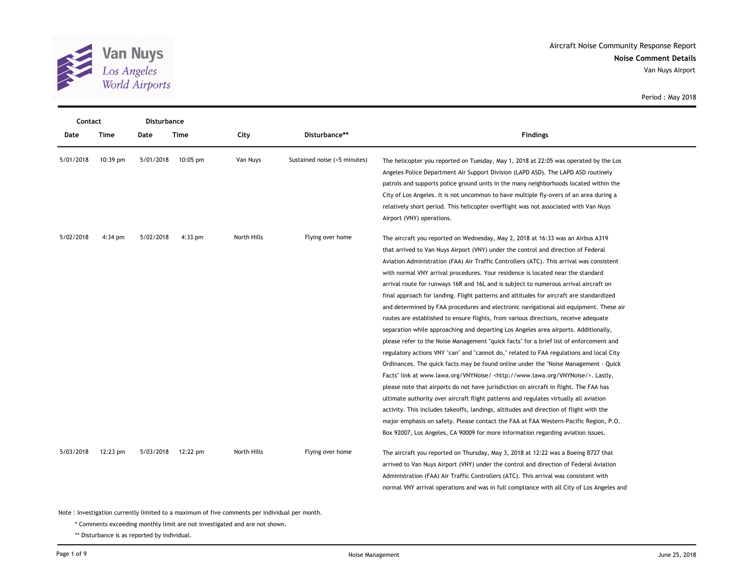

Van Nuys Airport

Period : May 2018

|           | Contact<br><b>Disturbance</b> |           |            |             |                              |                                                                                                                                                                                                                                                                                                                                                                                                                                                                                                                                                                                                                                                                                                                                                                                                                                                                                                                                                                                                                                                                                                                                                                                                                                                                                                                                                                                                                                                                                                                                                                                                                                                  |  |
|-----------|-------------------------------|-----------|------------|-------------|------------------------------|--------------------------------------------------------------------------------------------------------------------------------------------------------------------------------------------------------------------------------------------------------------------------------------------------------------------------------------------------------------------------------------------------------------------------------------------------------------------------------------------------------------------------------------------------------------------------------------------------------------------------------------------------------------------------------------------------------------------------------------------------------------------------------------------------------------------------------------------------------------------------------------------------------------------------------------------------------------------------------------------------------------------------------------------------------------------------------------------------------------------------------------------------------------------------------------------------------------------------------------------------------------------------------------------------------------------------------------------------------------------------------------------------------------------------------------------------------------------------------------------------------------------------------------------------------------------------------------------------------------------------------------------------|--|
| Date      | Time                          | Date      | Time       | City        | Disturbance**                | <b>Findings</b>                                                                                                                                                                                                                                                                                                                                                                                                                                                                                                                                                                                                                                                                                                                                                                                                                                                                                                                                                                                                                                                                                                                                                                                                                                                                                                                                                                                                                                                                                                                                                                                                                                  |  |
| 5/01/2018 | 10:39 pm                      | 5/01/2018 | $10:05$ pm | Van Nuys    | Sustained noise (>5 minutes) | The helicopter you reported on Tuesday, May 1, 2018 at 22:05 was operated by the Los<br>Angeles Police Department Air Support Division (LAPD ASD). The LAPD ASD routinely<br>patrols and supports police ground units in the many neighborhoods located within the<br>City of Los Angeles. It is not uncommon to have multiple fly-overs of an area during a<br>relatively short period. This helicopter overflight was not associated with Van Nuys<br>Airport (VNY) operations.                                                                                                                                                                                                                                                                                                                                                                                                                                                                                                                                                                                                                                                                                                                                                                                                                                                                                                                                                                                                                                                                                                                                                                |  |
| 5/02/2018 | $4:34$ pm                     | 5/02/2018 | $4:33$ pm  | North Hills | Flying over home             | The aircraft you reported on Wednesday, May 2, 2018 at 16:33 was an Airbus A319<br>that arrived to Van Nuys Airport (VNY) under the control and direction of Federal<br>Aviation Administration (FAA) Air Traffic Controllers (ATC). This arrival was consistent<br>with normal VNY arrival procedures. Your residence is located near the standard<br>arrival route for runways 16R and 16L and is subject to numerous arrival aircraft on<br>final approach for landing. Flight patterns and altitudes for aircraft are standardized<br>and determined by FAA procedures and electronic navigational aid equipment. These air<br>routes are established to ensure flights, from various directions, receive adequate<br>separation while approaching and departing Los Angeles area airports. Additionally,<br>please refer to the Noise Management "quick facts" for a brief list of enforcement and<br>regulatory actions VNY "can" and "cannot do," related to FAA regulations and local City<br>Ordinances. The quick facts may be found online under the "Noise Management - Quick<br>Facts" link at www.lawa.org/VNYNoise/ <http: vnynoise="" www.lawa.org=""></http:> . Lastly,<br>please note that airports do not have jurisdiction on aircraft in flight. The FAA has<br>ultimate authority over aircraft flight patterns and regulates virtually all aviation<br>activity. This includes takeoffs, landings, altitudes and direction of flight with the<br>major emphasis on safety. Please contact the FAA at FAA Western-Pacific Region, P.O.<br>Box 92007, Los Angeles, CA 90009 for more information regarding aviation issues. |  |
| 5/03/2018 | 12:23 pm                      | 5/03/2018 | 12:22 pm   | North Hills | Flying over home             | The aircraft you reported on Thursday, May 3, 2018 at 12:22 was a Boeing B727 that<br>arrived to Van Nuys Airport (VNY) under the control and direction of Federal Aviation<br>Administration (FAA) Air Traffic Controllers (ATC). This arrival was consistent with<br>normal VNY arrival operations and was in full compliance with all City of Los Angeles and                                                                                                                                                                                                                                                                                                                                                                                                                                                                                                                                                                                                                                                                                                                                                                                                                                                                                                                                                                                                                                                                                                                                                                                                                                                                                 |  |

Note : Investigation currently limited to a maximum of five comments per individual per month.

\* Comments exceeding monthly limit are not investigated and are not shown.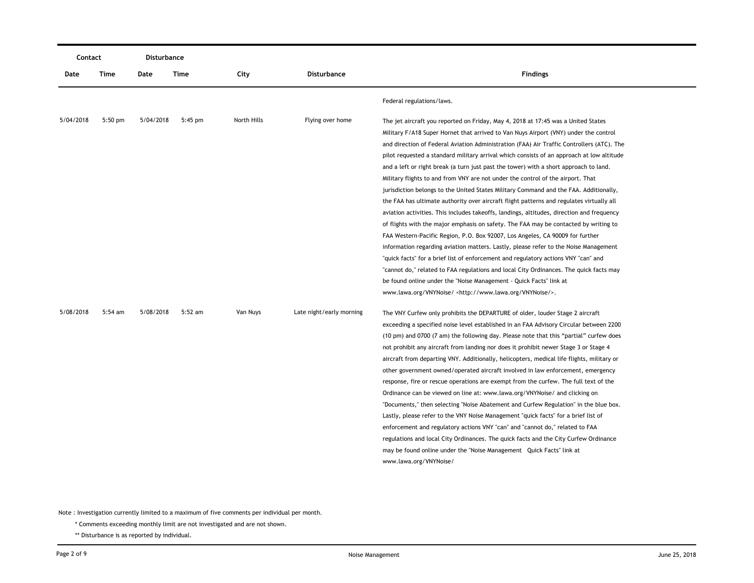| Contact   |           | Disturbance |           |             |                          |                                                                                                                                                                                                                                                                                                                                                                                                                                                                                                                                                                                                                                                                                                                                                                                                                                                                                                                                                                                                                                                                                                                                                                                                                                                                                                                                                          |
|-----------|-----------|-------------|-----------|-------------|--------------------------|----------------------------------------------------------------------------------------------------------------------------------------------------------------------------------------------------------------------------------------------------------------------------------------------------------------------------------------------------------------------------------------------------------------------------------------------------------------------------------------------------------------------------------------------------------------------------------------------------------------------------------------------------------------------------------------------------------------------------------------------------------------------------------------------------------------------------------------------------------------------------------------------------------------------------------------------------------------------------------------------------------------------------------------------------------------------------------------------------------------------------------------------------------------------------------------------------------------------------------------------------------------------------------------------------------------------------------------------------------|
| Date      | Time      | Date        | Time      | City        | <b>Disturbance</b>       | <b>Findings</b>                                                                                                                                                                                                                                                                                                                                                                                                                                                                                                                                                                                                                                                                                                                                                                                                                                                                                                                                                                                                                                                                                                                                                                                                                                                                                                                                          |
|           |           |             |           |             |                          | Federal regulations/laws.                                                                                                                                                                                                                                                                                                                                                                                                                                                                                                                                                                                                                                                                                                                                                                                                                                                                                                                                                                                                                                                                                                                                                                                                                                                                                                                                |
| 5/04/2018 | $5:50$ pm | 5/04/2018   | $5:45$ pm | North Hills | Flying over home         | The jet aircraft you reported on Friday, May 4, 2018 at 17:45 was a United States<br>Military F/A18 Super Hornet that arrived to Van Nuys Airport (VNY) under the control<br>and direction of Federal Aviation Administration (FAA) Air Traffic Controllers (ATC). The<br>pilot requested a standard military arrival which consists of an approach at low altitude<br>and a left or right break (a turn just past the tower) with a short approach to land.<br>Military flights to and from VNY are not under the control of the airport. That<br>jurisdiction belongs to the United States Military Command and the FAA. Additionally,<br>the FAA has ultimate authority over aircraft flight patterns and regulates virtually all<br>aviation activities. This includes takeoffs, landings, altitudes, direction and frequency<br>of flights with the major emphasis on safety. The FAA may be contacted by writing to<br>FAA Western-Pacific Region, P.O. Box 92007, Los Angeles, CA 90009 for further<br>information regarding aviation matters. Lastly, please refer to the Noise Management<br>"quick facts" for a brief list of enforcement and regulatory actions VNY "can" and<br>"cannot do," related to FAA regulations and local City Ordinances. The quick facts may<br>be found online under the "Noise Management - Quick Facts" link at |
| 5/08/2018 | $5:54$ am | 5/08/2018   | $5:52$ am | Van Nuys    | Late night/early morning | www.lawa.org/VNYNoise/ <http: vnynoise="" www.lawa.org=""></http:> .<br>The VNY Curfew only prohibits the DEPARTURE of older, louder Stage 2 aircraft<br>exceeding a specified noise level established in an FAA Advisory Circular between 2200<br>(10 pm) and 0700 (7 am) the following day. Please note that this "partial" curfew does<br>not prohibit any aircraft from landing nor does it prohibit newer Stage 3 or Stage 4<br>aircraft from departing VNY. Additionally, helicopters, medical life flights, military or<br>other government owned/operated aircraft involved in law enforcement, emergency<br>response, fire or rescue operations are exempt from the curfew. The full text of the<br>Ordinance can be viewed on line at: www.lawa.org/VNYNoise/ and clicking on<br>"Documents," then selecting "Noise Abatement and Curfew Regulation" in the blue box.<br>Lastly, please refer to the VNY Noise Management "quick facts" for a brief list of<br>enforcement and regulatory actions VNY "can" and "cannot do," related to FAA<br>regulations and local City Ordinances. The quick facts and the City Curfew Ordinance<br>may be found online under the "Noise Management Quick Facts" link at<br>www.lawa.org/VNYNoise/                                                                                                          |

\* Comments exceeding monthly limit are not investigated and are not shown.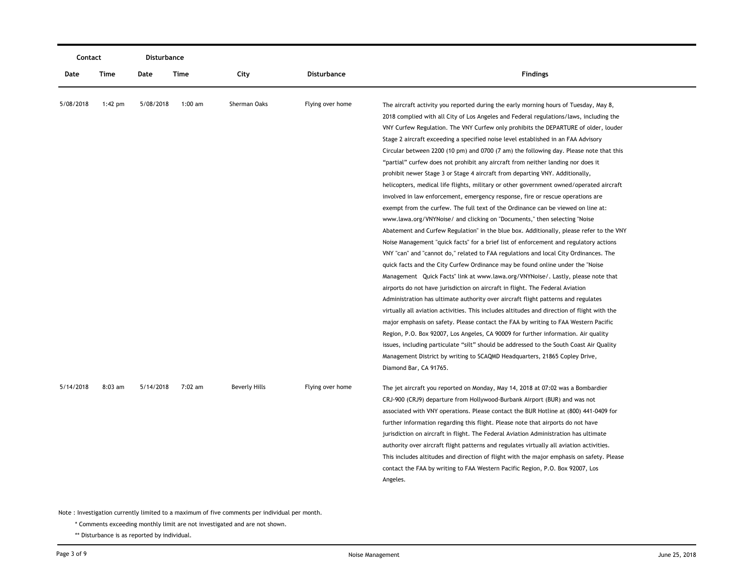| Contact   |           | <b>Disturbance</b> |           |                      |                  |                                                                                                                                                                                                                                                                                                                                                                                                                                                                                                                                                                                                                                                                                                                                                                                                                                                                                                                                                                                                                                                                                                                                                                                                                                                                                                                                                                                                                                                                                                                                                                                                                                                                                                                                                                                                                                                                                                                                                                                                                                                     |  |
|-----------|-----------|--------------------|-----------|----------------------|------------------|-----------------------------------------------------------------------------------------------------------------------------------------------------------------------------------------------------------------------------------------------------------------------------------------------------------------------------------------------------------------------------------------------------------------------------------------------------------------------------------------------------------------------------------------------------------------------------------------------------------------------------------------------------------------------------------------------------------------------------------------------------------------------------------------------------------------------------------------------------------------------------------------------------------------------------------------------------------------------------------------------------------------------------------------------------------------------------------------------------------------------------------------------------------------------------------------------------------------------------------------------------------------------------------------------------------------------------------------------------------------------------------------------------------------------------------------------------------------------------------------------------------------------------------------------------------------------------------------------------------------------------------------------------------------------------------------------------------------------------------------------------------------------------------------------------------------------------------------------------------------------------------------------------------------------------------------------------------------------------------------------------------------------------------------------------|--|
| Date      | Time      | Date               | Time      | City                 | Disturbance      | <b>Findings</b>                                                                                                                                                                                                                                                                                                                                                                                                                                                                                                                                                                                                                                                                                                                                                                                                                                                                                                                                                                                                                                                                                                                                                                                                                                                                                                                                                                                                                                                                                                                                                                                                                                                                                                                                                                                                                                                                                                                                                                                                                                     |  |
| 5/08/2018 | 1:42 pm   | 5/08/2018          | $1:00$ am | Sherman Oaks         | Flying over home | The aircraft activity you reported during the early morning hours of Tuesday, May 8,<br>2018 complied with all City of Los Angeles and Federal regulations/laws, including the<br>VNY Curfew Regulation. The VNY Curfew only prohibits the DEPARTURE of older, louder<br>Stage 2 aircraft exceeding a specified noise level established in an FAA Advisory<br>Circular between 2200 (10 pm) and 0700 (7 am) the following day. Please note that this<br>"partial" curfew does not prohibit any aircraft from neither landing nor does it<br>prohibit newer Stage 3 or Stage 4 aircraft from departing VNY. Additionally,<br>helicopters, medical life flights, military or other government owned/operated aircraft<br>involved in law enforcement, emergency response, fire or rescue operations are<br>exempt from the curfew. The full text of the Ordinance can be viewed on line at:<br>www.lawa.org/VNYNoise/ and clicking on "Documents," then selecting "Noise<br>Abatement and Curfew Regulation" in the blue box. Additionally, please refer to the VNY<br>Noise Management "quick facts" for a brief list of enforcement and regulatory actions<br>VNY "can" and "cannot do," related to FAA regulations and local City Ordinances. The<br>quick facts and the City Curfew Ordinance may be found online under the "Noise"<br>Management Quick Facts" link at www.lawa.org/VNYNoise/. Lastly, please note that<br>airports do not have jurisdiction on aircraft in flight. The Federal Aviation<br>Administration has ultimate authority over aircraft flight patterns and regulates<br>virtually all aviation activities. This includes altitudes and direction of flight with the<br>major emphasis on safety. Please contact the FAA by writing to FAA Western Pacific<br>Region, P.O. Box 92007, Los Angeles, CA 90009 for further information. Air quality<br>issues, including particulate "silt" should be addressed to the South Coast Air Quality<br>Management District by writing to SCAQMD Headquarters, 21865 Copley Drive, |  |
| 5/14/2018 | $8:03$ am | 5/14/2018          | 7:02 am   | <b>Beverly Hills</b> | Flying over home | Diamond Bar, CA 91765.<br>The jet aircraft you reported on Monday, May 14, 2018 at 07:02 was a Bombardier<br>CRJ-900 (CRJ9) departure from Hollywood-Burbank Airport (BUR) and was not<br>associated with VNY operations. Please contact the BUR Hotline at (800) 441-0409 for<br>further information regarding this flight. Please note that airports do not have<br>jurisdiction on aircraft in flight. The Federal Aviation Administration has ultimate<br>authority over aircraft flight patterns and regulates virtually all aviation activities.<br>This includes altitudes and direction of flight with the major emphasis on safety. Please<br>contact the FAA by writing to FAA Western Pacific Region, P.O. Box 92007, Los<br>Angeles.                                                                                                                                                                                                                                                                                                                                                                                                                                                                                                                                                                                                                                                                                                                                                                                                                                                                                                                                                                                                                                                                                                                                                                                                                                                                                                    |  |

\* Comments exceeding monthly limit are not investigated and are not shown.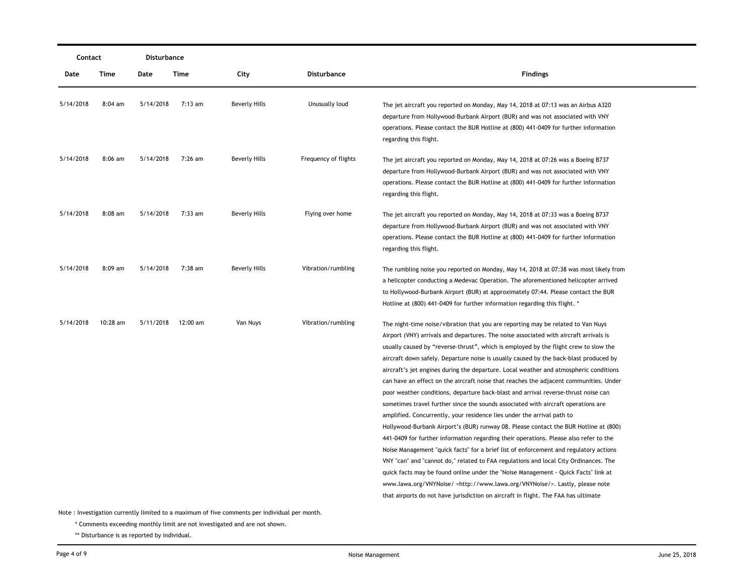| Contact   |           | Disturbance |          |                      |                      |                                                                                                                                                                                                                                                                                                                                                                                                                                                                                                                                                                                                                                                                                                                                                                                                                                                                                                                                                                                                                                                                                                                                                                                                                                                                                                                                                                                                                                             |  |  |
|-----------|-----------|-------------|----------|----------------------|----------------------|---------------------------------------------------------------------------------------------------------------------------------------------------------------------------------------------------------------------------------------------------------------------------------------------------------------------------------------------------------------------------------------------------------------------------------------------------------------------------------------------------------------------------------------------------------------------------------------------------------------------------------------------------------------------------------------------------------------------------------------------------------------------------------------------------------------------------------------------------------------------------------------------------------------------------------------------------------------------------------------------------------------------------------------------------------------------------------------------------------------------------------------------------------------------------------------------------------------------------------------------------------------------------------------------------------------------------------------------------------------------------------------------------------------------------------------------|--|--|
| Date      | Time      | Date        | Time     | City                 | Disturbance          | <b>Findings</b>                                                                                                                                                                                                                                                                                                                                                                                                                                                                                                                                                                                                                                                                                                                                                                                                                                                                                                                                                                                                                                                                                                                                                                                                                                                                                                                                                                                                                             |  |  |
| 5/14/2018 | 8:04 am   | 5/14/2018   | 7:13 am  | Beverly Hills        | Unusually loud       | The jet aircraft you reported on Monday, May 14, 2018 at 07:13 was an Airbus A320<br>departure from Hollywood-Burbank Airport (BUR) and was not associated with VNY<br>operations. Please contact the BUR Hotline at (800) 441-0409 for further information<br>regarding this flight.                                                                                                                                                                                                                                                                                                                                                                                                                                                                                                                                                                                                                                                                                                                                                                                                                                                                                                                                                                                                                                                                                                                                                       |  |  |
| 5/14/2018 | $8:06$ am | 5/14/2018   | 7:26 am  | <b>Beverly Hills</b> | Frequency of flights | The jet aircraft you reported on Monday, May 14, 2018 at 07:26 was a Boeing B737<br>departure from Hollywood-Burbank Airport (BUR) and was not associated with VNY<br>operations. Please contact the BUR Hotline at (800) 441-0409 for further information<br>regarding this flight.                                                                                                                                                                                                                                                                                                                                                                                                                                                                                                                                                                                                                                                                                                                                                                                                                                                                                                                                                                                                                                                                                                                                                        |  |  |
| 5/14/2018 | $8:08$ am | 5/14/2018   | 7:33 am  | <b>Beverly Hills</b> | Flying over home     | The jet aircraft you reported on Monday, May 14, 2018 at 07:33 was a Boeing B737<br>departure from Hollywood-Burbank Airport (BUR) and was not associated with VNY<br>operations. Please contact the BUR Hotline at (800) 441-0409 for further information<br>regarding this flight.                                                                                                                                                                                                                                                                                                                                                                                                                                                                                                                                                                                                                                                                                                                                                                                                                                                                                                                                                                                                                                                                                                                                                        |  |  |
| 5/14/2018 | $8:09$ am | 5/14/2018   | 7:38 am  | <b>Beverly Hills</b> | Vibration/rumbling   | The rumbling noise you reported on Monday, May 14, 2018 at 07:38 was most likely from<br>a helicopter conducting a Medevac Operation. The aforementioned helicopter arrived<br>to Hollywood-Burbank Airport (BUR) at approximately 07:44. Please contact the BUR<br>Hotline at (800) 441-0409 for further information regarding this flight. *                                                                                                                                                                                                                                                                                                                                                                                                                                                                                                                                                                                                                                                                                                                                                                                                                                                                                                                                                                                                                                                                                              |  |  |
| 5/14/2018 | 10:28 am  | 5/11/2018   | 12:00 am | Van Nuys             | Vibration/rumbling   | The night-time noise/vibration that you are reporting may be related to Van Nuys<br>Airport (VNY) arrivals and departures. The noise associated with aircraft arrivals is<br>usually caused by "reverse-thrust", which is employed by the flight crew to slow the<br>aircraft down safely. Departure noise is usually caused by the back-blast produced by<br>aircraft's jet engines during the departure. Local weather and atmospheric conditions<br>can have an effect on the aircraft noise that reaches the adjacent communities. Under<br>poor weather conditions, departure back-blast and arrival reverse-thrust noise can<br>sometimes travel further since the sounds associated with aircraft operations are<br>amplified. Concurrently, your residence lies under the arrival path to<br>Hollywood-Burbank Airport's (BUR) runway 08. Please contact the BUR Hotline at (800)<br>441-0409 for further information regarding their operations. Please also refer to the<br>Noise Management "quick facts" for a brief list of enforcement and regulatory actions<br>VNY "can" and "cannot do," related to FAA regulations and local City Ordinances. The<br>quick facts may be found online under the "Noise Management - Quick Facts" link at<br>www.lawa.org/VNYNoise/ <http: vnynoise="" www.lawa.org=""></http:> . Lastly, please note<br>that airports do not have jurisdiction on aircraft in flight. The FAA has ultimate |  |  |

\* Comments exceeding monthly limit are not investigated and are not shown.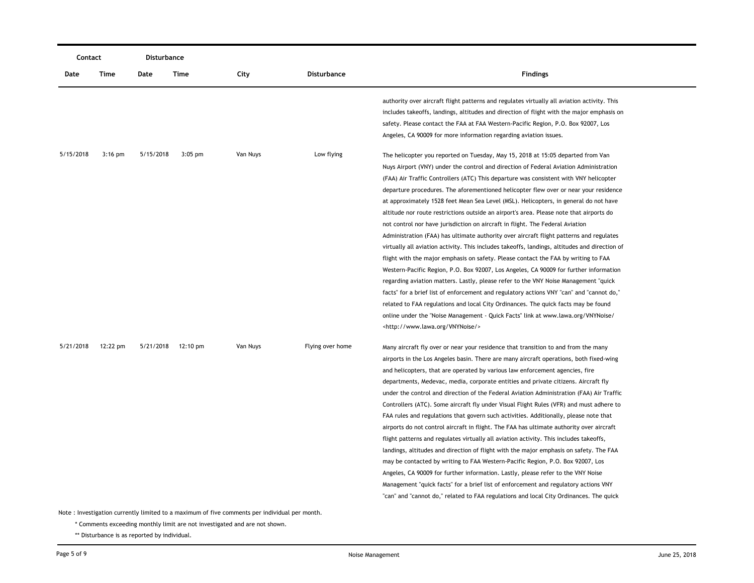|           | Contact   |           | Disturbance |          |                  |                                                                                                                                                                                                                                                                                                                                                                                                                                                                                                                                                                                                                                                                                                                                                                                                                                                                                                                                                                                                                                                                                                                                                                                                                                                                                                                                                                                                                       |
|-----------|-----------|-----------|-------------|----------|------------------|-----------------------------------------------------------------------------------------------------------------------------------------------------------------------------------------------------------------------------------------------------------------------------------------------------------------------------------------------------------------------------------------------------------------------------------------------------------------------------------------------------------------------------------------------------------------------------------------------------------------------------------------------------------------------------------------------------------------------------------------------------------------------------------------------------------------------------------------------------------------------------------------------------------------------------------------------------------------------------------------------------------------------------------------------------------------------------------------------------------------------------------------------------------------------------------------------------------------------------------------------------------------------------------------------------------------------------------------------------------------------------------------------------------------------|
| Date      | Time      | Date      | Time        | City     | Disturbance      | <b>Findings</b>                                                                                                                                                                                                                                                                                                                                                                                                                                                                                                                                                                                                                                                                                                                                                                                                                                                                                                                                                                                                                                                                                                                                                                                                                                                                                                                                                                                                       |
|           |           |           |             |          |                  | authority over aircraft flight patterns and regulates virtually all aviation activity. This<br>includes takeoffs, landings, altitudes and direction of flight with the major emphasis on<br>safety. Please contact the FAA at FAA Western-Pacific Region, P.O. Box 92007, Los<br>Angeles, CA 90009 for more information regarding aviation issues.                                                                                                                                                                                                                                                                                                                                                                                                                                                                                                                                                                                                                                                                                                                                                                                                                                                                                                                                                                                                                                                                    |
| 5/15/2018 | $3:16$ pm | 5/15/2018 | $3:05$ pm   | Van Nuys | Low flying       | The helicopter you reported on Tuesday, May 15, 2018 at 15:05 departed from Van<br>Nuys Airport (VNY) under the control and direction of Federal Aviation Administration<br>(FAA) Air Traffic Controllers (ATC) This departure was consistent with VNY helicopter<br>departure procedures. The aforementioned helicopter flew over or near your residence<br>at approximately 1528 feet Mean Sea Level (MSL). Helicopters, in general do not have<br>altitude nor route restrictions outside an airport's area. Please note that airports do<br>not control nor have jurisdiction on aircraft in flight. The Federal Aviation<br>Administration (FAA) has ultimate authority over aircraft flight patterns and regulates<br>virtually all aviation activity. This includes takeoffs, landings, altitudes and direction of<br>flight with the major emphasis on safety. Please contact the FAA by writing to FAA<br>Western-Pacific Region, P.O. Box 92007, Los Angeles, CA 90009 for further information<br>regarding aviation matters. Lastly, please refer to the VNY Noise Management "quick"<br>facts" for a brief list of enforcement and regulatory actions VNY "can" and "cannot do,"<br>related to FAA regulations and local City Ordinances. The quick facts may be found<br>online under the "Noise Management - Quick Facts" link at www.lawa.org/VNYNoise/<br><http: vnynoise="" www.lawa.org=""></http:> |
| 5/21/2018 | 12:22 pm  | 5/21/2018 | 12:10 pm    | Van Nuys | Flying over home | Many aircraft fly over or near your residence that transition to and from the many<br>airports in the Los Angeles basin. There are many aircraft operations, both fixed-wing<br>and helicopters, that are operated by various law enforcement agencies, fire<br>departments, Medevac, media, corporate entities and private citizens. Aircraft fly<br>under the control and direction of the Federal Aviation Administration (FAA) Air Traffic<br>Controllers (ATC). Some aircraft fly under Visual Flight Rules (VFR) and must adhere to<br>FAA rules and regulations that govern such activities. Additionally, please note that<br>airports do not control aircraft in flight. The FAA has ultimate authority over aircraft<br>flight patterns and regulates virtually all aviation activity. This includes takeoffs,<br>landings, altitudes and direction of flight with the major emphasis on safety. The FAA<br>may be contacted by writing to FAA Western-Pacific Region, P.O. Box 92007, Los<br>Angeles, CA 90009 for further information. Lastly, please refer to the VNY Noise<br>Management "quick facts" for a brief list of enforcement and regulatory actions VNY<br>"can" and "cannot do," related to FAA regulations and local City Ordinances. The quick                                                                                                                                             |

\* Comments exceeding monthly limit are not investigated and are not shown.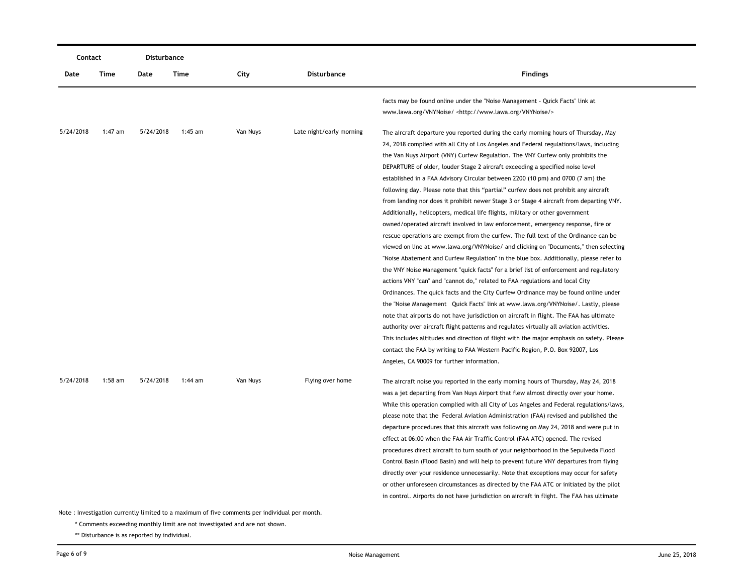|           | Contact   |           | Disturbance |                                                                                                           |                          |                                                                                                                                                                                                                                                                                                                                                                                                                                                                                                                                                                                                                                                                                                                                                                                                                                                                                                                                                                                                                                                                                                                                                                                                                                                                                                                                                                                                                                                                                                                                                                                                                                                                                                                |
|-----------|-----------|-----------|-------------|-----------------------------------------------------------------------------------------------------------|--------------------------|----------------------------------------------------------------------------------------------------------------------------------------------------------------------------------------------------------------------------------------------------------------------------------------------------------------------------------------------------------------------------------------------------------------------------------------------------------------------------------------------------------------------------------------------------------------------------------------------------------------------------------------------------------------------------------------------------------------------------------------------------------------------------------------------------------------------------------------------------------------------------------------------------------------------------------------------------------------------------------------------------------------------------------------------------------------------------------------------------------------------------------------------------------------------------------------------------------------------------------------------------------------------------------------------------------------------------------------------------------------------------------------------------------------------------------------------------------------------------------------------------------------------------------------------------------------------------------------------------------------------------------------------------------------------------------------------------------------|
| Date      | Time      | Date      | Time        | City                                                                                                      | <b>Disturbance</b>       | <b>Findings</b>                                                                                                                                                                                                                                                                                                                                                                                                                                                                                                                                                                                                                                                                                                                                                                                                                                                                                                                                                                                                                                                                                                                                                                                                                                                                                                                                                                                                                                                                                                                                                                                                                                                                                                |
|           |           |           |             |                                                                                                           |                          | facts may be found online under the "Noise Management - Quick Facts" link at<br>www.lawa.org/VNYNoise/ <http: vnynoise="" www.lawa.org=""></http:>                                                                                                                                                                                                                                                                                                                                                                                                                                                                                                                                                                                                                                                                                                                                                                                                                                                                                                                                                                                                                                                                                                                                                                                                                                                                                                                                                                                                                                                                                                                                                             |
| 5/24/2018 | 1:47 am   | 5/24/2018 | 1:45 am     | Van Nuys                                                                                                  | Late night/early morning | The aircraft departure you reported during the early morning hours of Thursday, May<br>24, 2018 complied with all City of Los Angeles and Federal regulations/laws, including<br>the Van Nuys Airport (VNY) Curfew Regulation. The VNY Curfew only prohibits the<br>DEPARTURE of older, louder Stage 2 aircraft exceeding a specified noise level<br>established in a FAA Advisory Circular between 2200 (10 pm) and 0700 (7 am) the<br>following day. Please note that this "partial" curfew does not prohibit any aircraft<br>from landing nor does it prohibit newer Stage 3 or Stage 4 aircraft from departing VNY.<br>Additionally, helicopters, medical life flights, military or other government<br>owned/operated aircraft involved in law enforcement, emergency response, fire or<br>rescue operations are exempt from the curfew. The full text of the Ordinance can be<br>viewed on line at www.lawa.org/VNYNoise/ and clicking on "Documents," then selecting<br>"Noise Abatement and Curfew Regulation" in the blue box. Additionally, please refer to<br>the VNY Noise Management "quick facts" for a brief list of enforcement and regulatory<br>actions VNY "can" and "cannot do," related to FAA regulations and local City<br>Ordinances. The quick facts and the City Curfew Ordinance may be found online under<br>the "Noise Management Quick Facts" link at www.lawa.org/VNYNoise/. Lastly, please<br>note that airports do not have jurisdiction on aircraft in flight. The FAA has ultimate<br>authority over aircraft flight patterns and regulates virtually all aviation activities.<br>This includes altitudes and direction of flight with the major emphasis on safety. Please |
| 5/24/2018 | $1:58$ am | 5/24/2018 | $1:44$ am   | Van Nuys<br>Note: Investigation currently limited to a maximum of five comments per individual per month. | Flying over home         | contact the FAA by writing to FAA Western Pacific Region, P.O. Box 92007, Los<br>Angeles, CA 90009 for further information.<br>The aircraft noise you reported in the early morning hours of Thursday, May 24, 2018<br>was a jet departing from Van Nuys Airport that flew almost directly over your home.<br>While this operation complied with all City of Los Angeles and Federal regulations/laws,<br>please note that the Federal Aviation Administration (FAA) revised and published the<br>departure procedures that this aircraft was following on May 24, 2018 and were put in<br>effect at 06:00 when the FAA Air Traffic Control (FAA ATC) opened. The revised<br>procedures direct aircraft to turn south of your neighborhood in the Sepulveda Flood<br>Control Basin (Flood Basin) and will help to prevent future VNY departures from flying<br>directly over your residence unnecessarily. Note that exceptions may occur for safety<br>or other unforeseen circumstances as directed by the FAA ATC or initiated by the pilot<br>in control. Airports do not have jurisdiction on aircraft in flight. The FAA has ultimate                                                                                                                                                                                                                                                                                                                                                                                                                                                                                                                                                                    |

\* Comments exceeding monthly limit are not investigated and are not shown.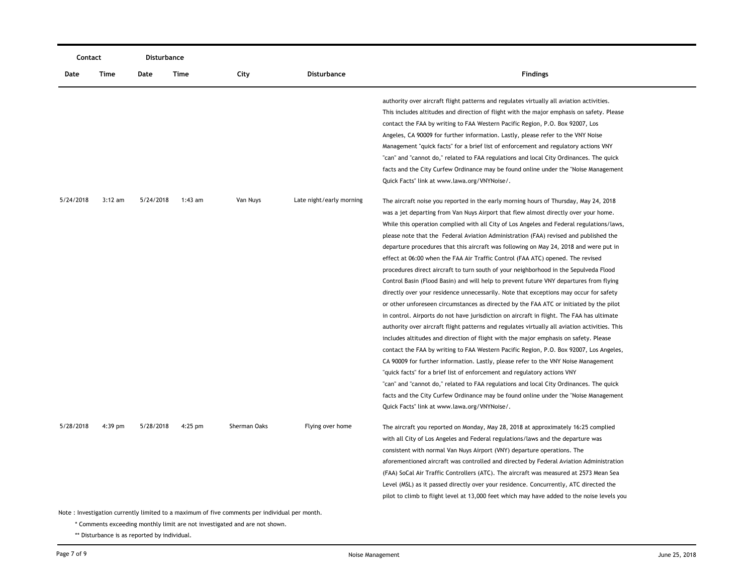| Contact   |           | Disturbance |           |              |                          |                                                                                                                                                                                                                                                                                                                                                                                                                                                                                                                                                                                                                                                                                                                                                                                                                                                                                                                                                                                                                                                                                                                                                                                                                                                                                                                                                                                                                                                                                                                                                                                                                                                                                                     |
|-----------|-----------|-------------|-----------|--------------|--------------------------|-----------------------------------------------------------------------------------------------------------------------------------------------------------------------------------------------------------------------------------------------------------------------------------------------------------------------------------------------------------------------------------------------------------------------------------------------------------------------------------------------------------------------------------------------------------------------------------------------------------------------------------------------------------------------------------------------------------------------------------------------------------------------------------------------------------------------------------------------------------------------------------------------------------------------------------------------------------------------------------------------------------------------------------------------------------------------------------------------------------------------------------------------------------------------------------------------------------------------------------------------------------------------------------------------------------------------------------------------------------------------------------------------------------------------------------------------------------------------------------------------------------------------------------------------------------------------------------------------------------------------------------------------------------------------------------------------------|
| Date      | Time      | Date        | Time      | City         | Disturbance              | <b>Findings</b>                                                                                                                                                                                                                                                                                                                                                                                                                                                                                                                                                                                                                                                                                                                                                                                                                                                                                                                                                                                                                                                                                                                                                                                                                                                                                                                                                                                                                                                                                                                                                                                                                                                                                     |
|           |           |             |           |              |                          | authority over aircraft flight patterns and regulates virtually all aviation activities.<br>This includes altitudes and direction of flight with the major emphasis on safety. Please<br>contact the FAA by writing to FAA Western Pacific Region, P.O. Box 92007, Los<br>Angeles, CA 90009 for further information. Lastly, please refer to the VNY Noise<br>Management "quick facts" for a brief list of enforcement and regulatory actions VNY<br>"can" and "cannot do," related to FAA regulations and local City Ordinances. The quick<br>facts and the City Curfew Ordinance may be found online under the "Noise Management"<br>Quick Facts" link at www.lawa.org/VNYNoise/.                                                                                                                                                                                                                                                                                                                                                                                                                                                                                                                                                                                                                                                                                                                                                                                                                                                                                                                                                                                                                 |
| 5/24/2018 | $3:12$ am | 5/24/2018   | $1:43$ am | Van Nuys     | Late night/early morning | The aircraft noise you reported in the early morning hours of Thursday, May 24, 2018<br>was a jet departing from Van Nuys Airport that flew almost directly over your home.<br>While this operation complied with all City of Los Angeles and Federal regulations/laws,<br>please note that the Federal Aviation Administration (FAA) revised and published the<br>departure procedures that this aircraft was following on May 24, 2018 and were put in<br>effect at 06:00 when the FAA Air Traffic Control (FAA ATC) opened. The revised<br>procedures direct aircraft to turn south of your neighborhood in the Sepulveda Flood<br>Control Basin (Flood Basin) and will help to prevent future VNY departures from flying<br>directly over your residence unnecessarily. Note that exceptions may occur for safety<br>or other unforeseen circumstances as directed by the FAA ATC or initiated by the pilot<br>in control. Airports do not have jurisdiction on aircraft in flight. The FAA has ultimate<br>authority over aircraft flight patterns and regulates virtually all aviation activities. This<br>includes altitudes and direction of flight with the major emphasis on safety. Please<br>contact the FAA by writing to FAA Western Pacific Region, P.O. Box 92007, Los Angeles,<br>CA 90009 for further information. Lastly, please refer to the VNY Noise Management<br>"quick facts" for a brief list of enforcement and regulatory actions VNY<br>"can" and "cannot do," related to FAA regulations and local City Ordinances. The quick<br>facts and the City Curfew Ordinance may be found online under the "Noise Management"<br>Quick Facts" link at www.lawa.org/VNYNoise/. |
| 5/28/2018 | $4:39$ pm | 5/28/2018   | $4:25$ pm | Sherman Oaks | Flying over home         | The aircraft you reported on Monday, May 28, 2018 at approximately 16:25 complied<br>with all City of Los Angeles and Federal regulations/laws and the departure was<br>consistent with normal Van Nuys Airport (VNY) departure operations. The<br>aforementioned aircraft was controlled and directed by Federal Aviation Administration<br>(FAA) SoCal Air Traffic Controllers (ATC). The aircraft was measured at 2573 Mean Sea<br>Level (MSL) as it passed directly over your residence. Concurrently, ATC directed the<br>pilot to climb to flight level at 13,000 feet which may have added to the noise levels you                                                                                                                                                                                                                                                                                                                                                                                                                                                                                                                                                                                                                                                                                                                                                                                                                                                                                                                                                                                                                                                                           |

\* Comments exceeding monthly limit are not investigated and are not shown.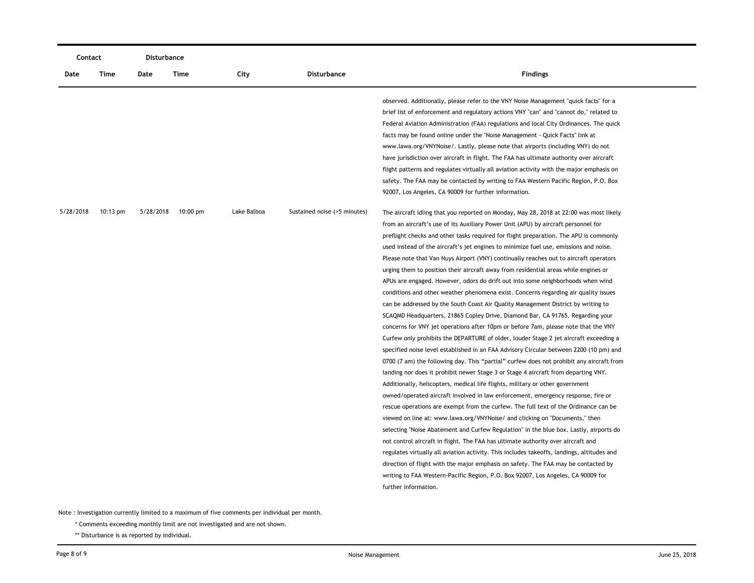| Contact   |                    | Disturbance |                    |             |                              |                                                                                                                                                                                                                                                                                                                                                                                                                                                                                                                                                                                                                                                                                                                                                                                                                                                                                                                                                                                                                                                                                                                                                                                                                                                                                                                                                                                                                                                                                                                                                                                                                                                                                                                                                                                                                                                                                                                                                                                                                                                                                                                                                                                     |
|-----------|--------------------|-------------|--------------------|-------------|------------------------------|-------------------------------------------------------------------------------------------------------------------------------------------------------------------------------------------------------------------------------------------------------------------------------------------------------------------------------------------------------------------------------------------------------------------------------------------------------------------------------------------------------------------------------------------------------------------------------------------------------------------------------------------------------------------------------------------------------------------------------------------------------------------------------------------------------------------------------------------------------------------------------------------------------------------------------------------------------------------------------------------------------------------------------------------------------------------------------------------------------------------------------------------------------------------------------------------------------------------------------------------------------------------------------------------------------------------------------------------------------------------------------------------------------------------------------------------------------------------------------------------------------------------------------------------------------------------------------------------------------------------------------------------------------------------------------------------------------------------------------------------------------------------------------------------------------------------------------------------------------------------------------------------------------------------------------------------------------------------------------------------------------------------------------------------------------------------------------------------------------------------------------------------------------------------------------------|
| Date      | Time               | Date        | Time               | City        | <b>Disturbance</b>           | <b>Findings</b>                                                                                                                                                                                                                                                                                                                                                                                                                                                                                                                                                                                                                                                                                                                                                                                                                                                                                                                                                                                                                                                                                                                                                                                                                                                                                                                                                                                                                                                                                                                                                                                                                                                                                                                                                                                                                                                                                                                                                                                                                                                                                                                                                                     |
|           |                    |             |                    |             |                              | observed. Additionally, please refer to the VNY Noise Management "quick facts" for a<br>brief list of enforcement and regulatory actions VNY "can" and "cannot do," related to<br>Federal Aviation Administration (FAA) regulations and local City Ordinances. The quick<br>facts may be found online under the "Noise Management - Quick Facts" link at<br>www.lawa.org/VNYNoise/. Lastly, please note that airports (including VNY) do not<br>have jurisdiction over aircraft in flight. The FAA has ultimate authority over aircraft<br>flight patterns and regulates virtually all aviation activity with the major emphasis on<br>safety. The FAA may be contacted by writing to FAA Western Pacific Region, P.O. Box<br>92007, Los Angeles, CA 90009 for further information.                                                                                                                                                                                                                                                                                                                                                                                                                                                                                                                                                                                                                                                                                                                                                                                                                                                                                                                                                                                                                                                                                                                                                                                                                                                                                                                                                                                                 |
| 5/28/2018 | $10:13 \text{ pm}$ | 5/28/2018   | $10:00 \text{ pm}$ | Lake Balboa | Sustained noise (>5 minutes) | The aircraft idling that you reported on Monday, May 28, 2018 at 22:00 was most likely<br>from an aircraft's use of its Auxiliary Power Unit (APU) by aircraft personnel for<br>preflight checks and other tasks required for flight preparation. The APU is commonly<br>used instead of the aircraft's jet engines to minimize fuel use, emissions and noise.<br>Please note that Van Nuys Airport (VNY) continually reaches out to aircraft operators<br>urging them to position their aircraft away from residential areas while engines or<br>APUs are engaged. However, odors do drift out into some neighborhoods when wind<br>conditions and other weather phenomena exist. Concerns regarding air quality issues<br>can be addressed by the South Coast Air Quality Management District by writing to<br>SCAQMD Headquarters, 21865 Copley Drive, Diamond Bar, CA 91765. Regarding your<br>concerns for VNY jet operations after 10pm or before 7am, please note that the VNY<br>Curfew only prohibits the DEPARTURE of older, louder Stage 2 jet aircraft exceeding a<br>specified noise level established in an FAA Advisory Circular between 2200 (10 pm) and<br>0700 (7 am) the following day. This "partial" curfew does not prohibit any aircraft from<br>landing nor does it prohibit newer Stage 3 or Stage 4 aircraft from departing VNY.<br>Additionally, helicopters, medical life flights, military or other government<br>owned/operated aircraft involved in law enforcement, emergency response, fire or<br>rescue operations are exempt from the curfew. The full text of the Ordinance can be<br>viewed on line at: www.lawa.org/VNYNoise/ and clicking on "Documents," then<br>selecting "Noise Abatement and Curfew Regulation" in the blue box. Lastly, airports do<br>not control aircraft in flight. The FAA has ultimate authority over aircraft and<br>regulates virtually all aviation activity. This includes takeoffs, landings, altitudes and<br>direction of flight with the major emphasis on safety. The FAA may be contacted by<br>writing to FAA Western-Pacific Region, P.O. Box 92007, Los Angeles, CA 90009 for<br>further information. |

\* Comments exceeding monthly limit are not investigated and are not shown.